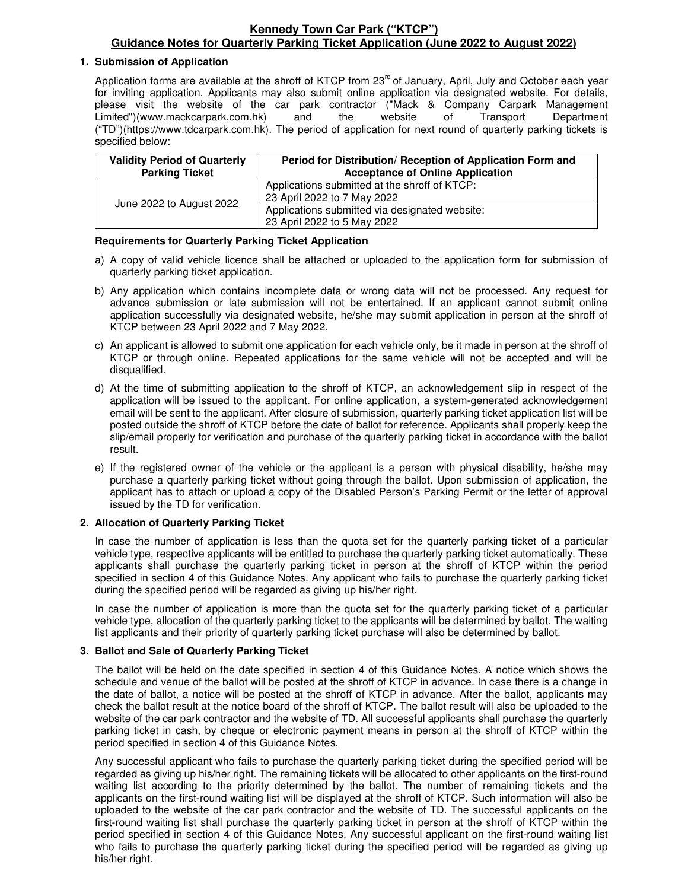#### **Kennedy Town Car Park ("KTCP") Guidance Notes for Quarterly Parking Ticket Application (June 2022 to August 2022)**

#### **1. Submission of Application**

Application forms are available at the shroff of KTCP from 23<sup>rd</sup> of January, April, July and October each vear for inviting application. Applicants may also submit online application via designated website. For details, please visit the website of the car park contractor ("Mack & Company Carpark Management Limited")(www.mackcarpark.com.hk) and the website of Transport Department ("TD")(https://www.tdcarpark.com.hk). The period of application for next round of quarterly parking tickets is specified below:

| <b>Validity Period of Quarterly</b><br><b>Parking Ticket</b> | Period for Distribution/ Reception of Application Form and<br><b>Acceptance of Online Application</b> |  |
|--------------------------------------------------------------|-------------------------------------------------------------------------------------------------------|--|
| June 2022 to August 2022                                     | Applications submitted at the shroff of KTCP:<br>23 April 2022 to 7 May 2022                          |  |
|                                                              | Applications submitted via designated website:<br>23 April 2022 to 5 May 2022                         |  |

#### **Requirements for Quarterly Parking Ticket Application**

- a) A copy of valid vehicle licence shall be attached or uploaded to the application form for submission of quarterly parking ticket application.
- b) Any application which contains incomplete data or wrong data will not be processed. Any request for advance submission or late submission will not be entertained. If an applicant cannot submit online application successfully via designated website, he/she may submit application in person at the shroff of KTCP between 23 April 2022 and 7 May 2022.
- c) An applicant is allowed to submit one application for each vehicle only, be it made in person at the shroff of KTCP or through online. Repeated applications for the same vehicle will not be accepted and will be disqualified.
- d) At the time of submitting application to the shroff of KTCP, an acknowledgement slip in respect of the application will be issued to the applicant. For online application, a system-generated acknowledgement email will be sent to the applicant. After closure of submission, quarterly parking ticket application list will be posted outside the shroff of KTCP before the date of ballot for reference. Applicants shall properly keep the slip/email properly for verification and purchase of the quarterly parking ticket in accordance with the ballot result.
- e) If the registered owner of the vehicle or the applicant is a person with physical disability, he/she may purchase a quarterly parking ticket without going through the ballot. Upon submission of application, the applicant has to attach or upload a copy of the Disabled Person's Parking Permit or the letter of approval issued by the TD for verification.

#### **2. Allocation of Quarterly Parking Ticket**

In case the number of application is less than the quota set for the quarterly parking ticket of a particular vehicle type, respective applicants will be entitled to purchase the quarterly parking ticket automatically. These applicants shall purchase the quarterly parking ticket in person at the shroff of KTCP within the period specified in section 4 of this Guidance Notes. Any applicant who fails to purchase the quarterly parking ticket during the specified period will be regarded as giving up his/her right.

In case the number of application is more than the quota set for the quarterly parking ticket of a particular vehicle type, allocation of the quarterly parking ticket to the applicants will be determined by ballot. The waiting list applicants and their priority of quarterly parking ticket purchase will also be determined by ballot.

#### **3. Ballot and Sale of Quarterly Parking Ticket**

The ballot will be held on the date specified in section 4 of this Guidance Notes. A notice which shows the schedule and venue of the ballot will be posted at the shroff of KTCP in advance. In case there is a change in the date of ballot, a notice will be posted at the shroff of KTCP in advance. After the ballot, applicants may check the ballot result at the notice board of the shroff of KTCP. The ballot result will also be uploaded to the website of the car park contractor and the website of TD. All successful applicants shall purchase the quarterly parking ticket in cash, by cheque or electronic payment means in person at the shroff of KTCP within the period specified in section 4 of this Guidance Notes.

Any successful applicant who fails to purchase the quarterly parking ticket during the specified period will be regarded as giving up his/her right. The remaining tickets will be allocated to other applicants on the first-round waiting list according to the priority determined by the ballot. The number of remaining tickets and the applicants on the first-round waiting list will be displayed at the shroff of KTCP. Such information will also be uploaded to the website of the car park contractor and the website of TD. The successful applicants on the first-round waiting list shall purchase the quarterly parking ticket in person at the shroff of KTCP within the period specified in section 4 of this Guidance Notes. Any successful applicant on the first-round waiting list who fails to purchase the quarterly parking ticket during the specified period will be regarded as giving up his/her right.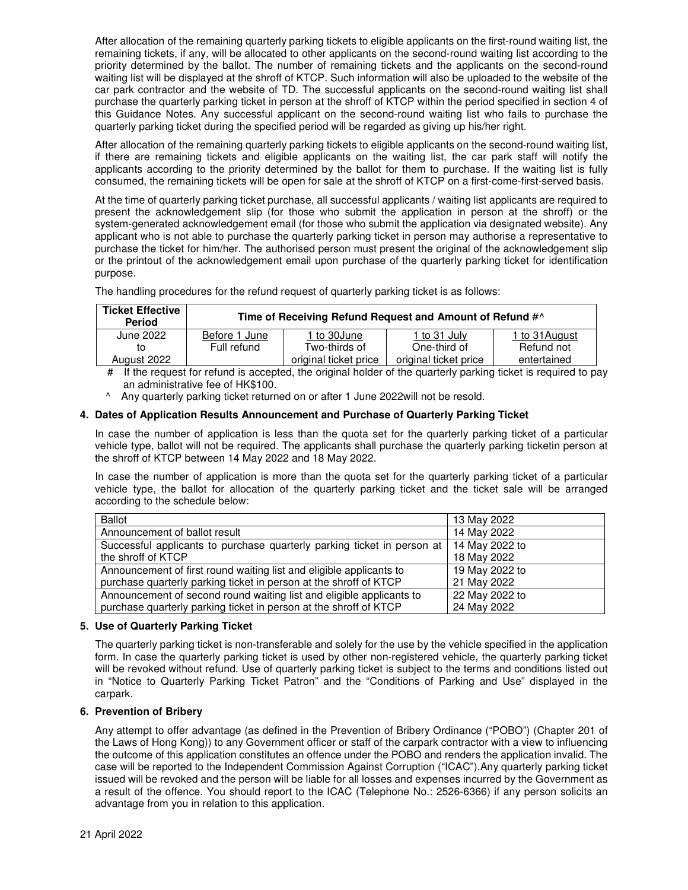After allocation of the remaining quarterly parking tickets to eligible applicants on the first-round waiting list, the remaining tickets, if any, will be allocated to other applicants on the second-round waiting list according to the priority determined by the ballot. The number of remaining tickets and the applicants on the second-round waiting list will be displayed at the shroff of KTCP. Such information will also be uploaded to the website of the car park contractor and the website of TD. The successful applicants on the second-round waiting list shall purchase the quarterly parking ticket in person at the shroff of KTCP within the period specified in section 4 of this Guidance Notes. Any successful applicant on the second-round waiting list who fails to purchase the quarterly parking ticket during the specified period will be regarded as giving up his/her right.

After allocation of the remaining quarterly parking tickets to eligible applicants on the second-round waiting list, if there are remaining tickets and eligible applicants on the waiting list, the car park staff will notify the applicants according to the priority determined by the ballot for them to purchase. If the waiting list is fully consumed, the remaining tickets will be open for sale at the shroff of KTCP on a first-come-first-served basis.

At the time of quarterly parking ticket purchase, all successful applicants / waiting list applicants are required to present the acknowledgement slip (for those who submit the application in person at the shroff) or the system-generated acknowledgement email (for those who submit the application via designated website). Any applicant who is not able to purchase the quarterly parking ticket in person may authorise a representative to purchase the ticket for him/her. The authorised person must present the original of the acknowledgement slip or the printout of the acknowledgement email upon purchase of the quarterly parking ticket for identification purpose.

The handling procedures for the refund request of quarterly parking ticket is as follows:

| <b>Ticket Effective</b><br><b>Period</b>                                                                          | Time of Receiving Refund Request and Amount of Refund #^ |                       |                       |                |
|-------------------------------------------------------------------------------------------------------------------|----------------------------------------------------------|-----------------------|-----------------------|----------------|
| June 2022                                                                                                         | Before 1 June                                            | 1 to 30June           | 1 to 31 July          | 1 to 31 August |
| tΟ                                                                                                                | Full refund                                              | Two-thirds of         | One-third of          | Refund not     |
| August 2022                                                                                                       |                                                          | original ticket price | original ticket price | entertained    |
| $\pm$ if the request for refund is constant the eriginal holder of the quarterly parking tighet is required to be |                                                          |                       |                       |                |

# If the request for refund is accepted, the original holder of the quarterly parking ticket is required to pay an administrative fee of HK\$100.

^ Any quarterly parking ticket returned on or after 1 June 2022will not be resold.

#### **4. Dates of Application Results Announcement and Purchase of Quarterly Parking Ticket**

In case the number of application is less than the quota set for the quarterly parking ticket of a particular vehicle type, ballot will not be required. The applicants shall purchase the quarterly parking ticketin person at the shroff of KTCP between 14 May 2022 and 18 May 2022.

In case the number of application is more than the quota set for the quarterly parking ticket of a particular vehicle type, the ballot for allocation of the quarterly parking ticket and the ticket sale will be arranged according to the schedule below:

| <b>Ballot</b>                                                           | 13 May 2022    |
|-------------------------------------------------------------------------|----------------|
| Announcement of ballot result                                           | 14 May 2022    |
| Successful applicants to purchase quarterly parking ticket in person at | 14 May 2022 to |
| the shroff of KTCP                                                      | 18 May 2022    |
| Announcement of first round waiting list and eligible applicants to     | 19 May 2022 to |
| purchase quarterly parking ticket in person at the shroff of KTCP       | 21 May 2022    |
| Announcement of second round waiting list and eligible applicants to    | 22 May 2022 to |
| purchase quarterly parking ticket in person at the shroff of KTCP       | 24 May 2022    |

#### **5. Use of Quarterly Parking Ticket**

The quarterly parking ticket is non-transferable and solely for the use by the vehicle specified in the application form. In case the quarterly parking ticket is used by other non-registered vehicle, the quarterly parking ticket will be revoked without refund. Use of quarterly parking ticket is subject to the terms and conditions listed out in "Notice to Quarterly Parking Ticket Patron" and the "Conditions of Parking and Use" displayed in the carpark.

#### **6. Prevention of Bribery**

Any attempt to offer advantage (as defined in the Prevention of Bribery Ordinance ("POBO") (Chapter 201 of the Laws of Hong Kong)) to any Government officer or staff of the carpark contractor with a view to influencing the outcome of this application constitutes an offence under the POBO and renders the application invalid. The case will be reported to the Independent Commission Against Corruption ("ICAC").Any quarterly parking ticket issued will be revoked and the person will be liable for all losses and expenses incurred by the Government as a result of the offence. You should report to the ICAC (Telephone No.: 2526-6366) if any person solicits an advantage from you in relation to this application.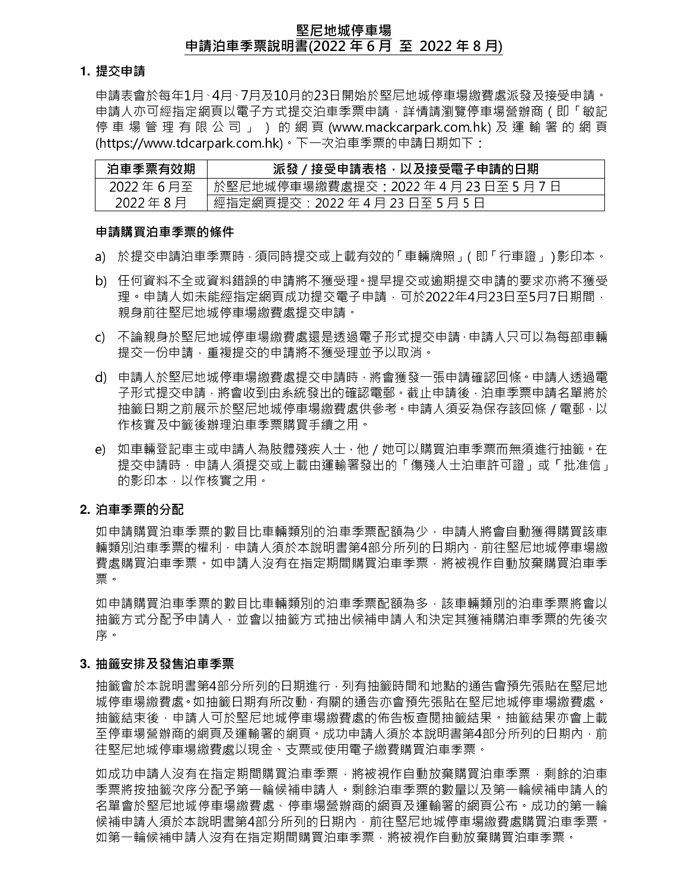### 堅尼地城停車場 申請泊車季票說明書(2022 年 6 月 至 2022 年 8 月)

#### **1.** 提交申請

申請表會於每年1月、4月、7月及10月的23日開始於堅尼地城停車場繳費處派發及接受申請。 申請人亦可經指定網頁以電子方式提交泊車季票申請,詳情請瀏覽停車場營辦商(即「敏記 停 車 場 管 理 有 限 公 司 」 ) 的 網 頁 (www.mackcarpark.com.hk) 及 運 輸 署 的 網 頁 (https://www.tdcarpark.com.hk)。下一次泊車季票的申請日期如下:

| 泊車季票有效期  | 派發/接受申請表格,以及接受電子申請的日期                  |
|----------|----------------------------------------|
| 2022年6月至 | 於堅尼地城停車場繳費處提交:2022 年 4 月 23 日至 5 月 7 日 |
| 2022年8月  | 經指定網頁提交:2022 年 4 月 23 日至 5 月 5 日       |

#### 申請購買泊車季票的條件

- a) 於提交申請泊車季票時,須同時提交或上載有效的「車輛牌照」(即「行車證」)影印本。
- b) 任何資料不全或資料錯誤的申請將不獲受理。提早提交或逾期提交申請的要求亦將不獲受 理。申請人如未能經指定網頁成功提交電子申請,可於2022年4月23日至5月7日期間, 親身前往堅尼地城停車場繳費處提交申請。
- c) 不論親身於堅尼地城停車場繳費處還是透過電子形式提交申請,申請人只可以為每部車輛 提交一份申請,重複提交的申請將不獲受理並予以取消。
- d) 申請人於堅尼地城停車場繳費處提交申請時,將會獲發一張申請確認回條。申請人透過電 子形式提交申請,將會收到由系統發出的確認電郵。截止申請後,泊車季票申請名單將於 抽籤日期之前展示於堅尼地城停車場繳費處供參考。申請人須妥為保存該回條/電郵,以 作核實及中籤後辦理泊車季票購買手續之用。
- e) 如車輛登記車主或申請人為肢體殘疾人士,他/她可以購買泊車季票而無須進行抽籤。在 提交申請時,申請人須提交或上載由運輸署發出的「傷殘人士泊車許可證」或「批准信」 的影印本,以作核實之用。

## **2.** 泊車季票的分配

如申請購買泊車季票的數目比車輛類別的泊車季票配額為少,申請人將會自動獲得購買該車 輛類別泊車季票的權利,申請人須於本說明書第4部分所列的日期內,前往堅尼地城停車場繳 費處購買泊車季票。如申請人沒有在指定期間購買泊車季票,將被視作自動放棄購買泊車季 票。

如申請購買泊車季票的數目比車輛類別的泊車季票配額為多,該車輛類別的泊車季票將會以 抽籤方式分配予申請人,並會以抽籤方式抽出候補申請人和決定其獲補購泊車季票的先後次 序。

## **3.** 抽籤安排及發售泊車季票

抽籤會於本說明書第4部分所列的日期進行,列有抽籤時間和地點的通告會預先張貼在堅尼地 城停車場繳費處。如抽籤日期有所改動,有關的通告亦會預先張貼在堅尼地城停車場繳費處。 抽籤結束後,申請人可於堅尼地城停車場繳費處的佈告板查閱抽籤結果。抽籤結果亦會上載 至停車場營辦商的網頁及運輸署的網頁。成功申請人須於本說明書第4部分所列的日期內,前 往堅尼地城停車場繳費處以現金、支票或使用電子繳費購買泊車季票。

如成功申請人沒有在指定期間購買泊車季票,將被視作自動放棄購買泊車季票,剩餘的泊車 季票將按抽籤次序分配予第⼀輪候補申請⼈。剩餘泊車季票的數量以及第⼀輪候補申請⼈的 名單會於堅尼地城停車場繳費處、停車場營辦商的網貢及運輸署的網頁公布。成功的第一輪 候補申請人須於本說明書第4部分所列的日期內,前往堅尼地城停車場繳費處購買泊車季票。 如第一輪候補申請人沒有在指定期間購買泊車季票,將被視作自動放棄購買泊車季票。 Í